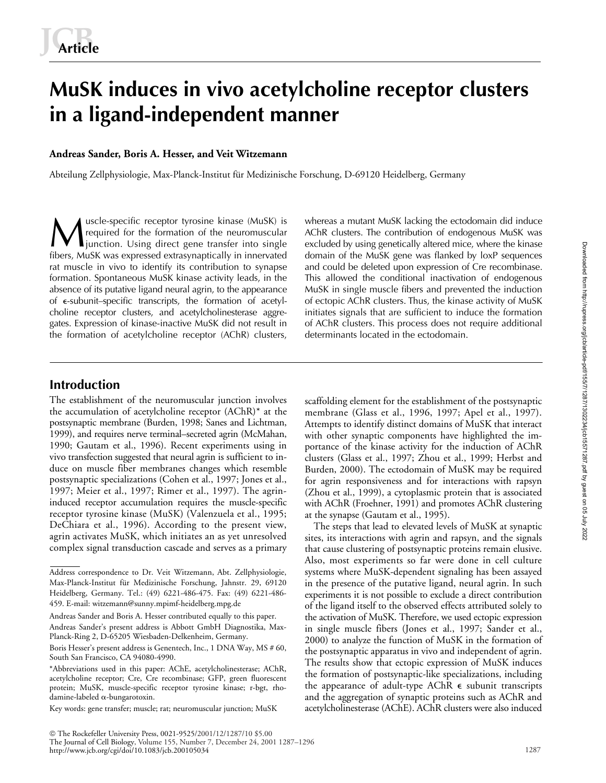# **MuSK induces in vivo acetylcholine receptor clusters in a ligand-independent manner**

## **Andreas Sander, Boris A. Hesser, and Veit Witzemann**

Abteilung Zellphysiologie, Max-Planck-Institut für Medizinische Forschung, D-69120 Heidelberg, Germany

uscle-specific receptor tyrosine kinase (MuSK) is required for the formation of the neuromuscular whereas a mutant MuSK lacking the ectodomain did induce<br>
required for the formation of the neuromuscular<br>
junction. Using direct gene transfer into single<br>
fibers MuSK was expressed extrasvnaptically in innervated<br>
domain fibers, MuSK was expressed extrasynaptically in innervated rat muscle in vivo to identify its contribution to synapse formation. Spontaneous MuSK kinase activity leads, in the absence of its putative ligand neural agrin, to the appearance of e-subunit–specific transcripts, the formation of acetylcholine receptor clusters, and acetylcholinesterase aggregates. Expression of kinase-inactive MuSK did not result in the formation of acetylcholine receptor (AChR) clusters,

AChR clusters. The contribution of endogenous MuSK was excluded by using genetically altered mice, where the kinase domain of the MuSK gene was flanked by loxP sequences and could be deleted upon expression of Cre recombinase. This allowed the conditional inactivation of endogenous MuSK in single muscle fibers and prevented the induction of ectopic AChR clusters. Thus, the kinase activity of MuSK initiates signals that are sufficient to induce the formation of AChR clusters. This process does not require additional determinants located in the ectodomain.

# **Introduction**

The establishment of the neuromuscular junction involves the accumulation of acetylcholine receptor (AChR)\* at the postsynaptic membrane (Burden, 1998; Sanes and Lichtman, 1999), and requires nerve terminal–secreted agrin (McMahan, 1990; Gautam et al., 1996). Recent experiments using in vivo transfection suggested that neural agrin is sufficient to induce on muscle fiber membranes changes which resemble postsynaptic specializations (Cohen et al., 1997; Jones et al., 1997; Meier et al., 1997; Rimer et al., 1997). The agrininduced receptor accumulation requires the muscle-specific receptor tyrosine kinase (MuSK) (Valenzuela et al., 1995; DeChiara et al., 1996). According to the present view, agrin activates MuSK, which initiates an as yet unresolved complex signal transduction cascade and serves as a primary

Andreas Sander and Boris A. Hesser contributed equally to this paper.

Andreas Sander's present address is Abbott GmbH Diagnostika, Max-Planck-Ring 2, D-65205 Wiesbaden-Delkenheim, Germany.

scaffolding element for the establishment of the postsynaptic membrane (Glass et al., 1996, 1997; Apel et al., 1997). Attempts to identify distinct domains of MuSK that interact with other synaptic components have highlighted the importance of the kinase activity for the induction of AChR clusters (Glass et al., 1997; Zhou et al., 1999; Herbst and Burden, 2000). The ectodomain of MuSK may be required for agrin responsiveness and for interactions with rapsyn (Zhou et al., 1999), a cytoplasmic protein that is associated with AChR (Froehner, 1991) and promotes AChR clustering at the synapse (Gautam et al., 1995).

The steps that lead to elevated levels of MuSK at synaptic sites, its interactions with agrin and rapsyn, and the signals that cause clustering of postsynaptic proteins remain elusive. Also, most experiments so far were done in cell culture systems where MuSK-dependent signaling has been assayed in the presence of the putative ligand, neural agrin. In such experiments it is not possible to exclude a direct contribution of the ligand itself to the observed effects attributed solely to the activation of MuSK. Therefore, we used ectopic expression in single muscle fibers (Jones et al., 1997; Sander et al., 2000) to analyze the function of MuSK in the formation of the postsynaptic apparatus in vivo and independent of agrin. The results show that ectopic expression of MuSK induces the formation of postsynaptic-like specializations, including the appearance of adult-type AChR  $\epsilon$  subunit transcripts and the aggregation of synaptic proteins such as AChR and acetylcholinesterase (AChE). AChR clusters were also induced

http://www.jcb.org/cgi/doi/10.1083/jcb.200105034

Address correspondence to Dr. Veit Witzemann, Abt. Zellphysiologie, Max-Planck-Institut für Medizinische Forschung, Jahnstr. 29, 69120 Heidelberg, Germany. Tel.: (49) 6221-486-475. Fax: (49) 6221-486- 459. E-mail: witzemann@sunny.mpimf-heidelberg.mpg.de

Boris Hesser's present address is Genentech, Inc., 1 DNA Way, MS # 60, South San Francisco, CA 94080-4990.

<sup>\*</sup>Abbreviations used in this paper: AChE, acetylcholinesterase; AChR, acetylcholine receptor; Cre, Cre recombinase; GFP, green fluorescent protein; MuSK, muscle-specific receptor tyrosine kinase; r-bgt, rhodamine-labeled  $\alpha$ -bungarotoxin.

Key words: gene transfer; muscle; rat; neuromuscular junction; MuSK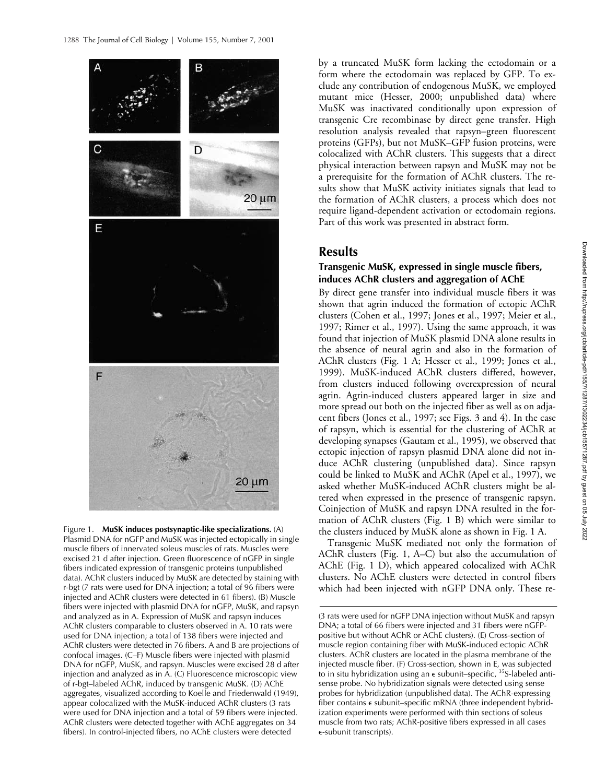

Figure 1. **MuSK induces postsynaptic-like specializations.** (A) Plasmid DNA for nGFP and MuSK was injected ectopically in single muscle fibers of innervated soleus muscles of rats. Muscles were excised 21 d after injection. Green fluorescence of nGFP in single fibers indicated expression of transgenic proteins (unpublished data). AChR clusters induced by MuSK are detected by staining with r-bgt (7 rats were used for DNA injection; a total of 96 fibers were injected and AChR clusters were detected in 61 fibers). (B) Muscle fibers were injected with plasmid DNA for nGFP, MuSK, and rapsyn and analyzed as in A. Expression of MuSK and rapsyn induces AChR clusters comparable to clusters observed in A. 10 rats were used for DNA injection; a total of 138 fibers were injected and AChR clusters were detected in 76 fibers. A and B are projections of confocal images. (C–F) Muscle fibers were injected with plasmid DNA for nGFP, MuSK, and rapsyn. Muscles were excised 28 d after injection and analyzed as in A. (C) Fluorescence microscopic view of r-bgt–labeled AChR, induced by transgenic MuSK. (D) AChE aggregates, visualized according to Koelle and Friedenwald (1949), appear colocalized with the MuSK-induced AChR clusters (3 rats were used for DNA injection and a total of 59 fibers were injected. AChR clusters were detected together with AChE aggregates on 34 fibers). In control-injected fibers, no AChE clusters were detected

by a truncated MuSK form lacking the ectodomain or a form where the ectodomain was replaced by GFP. To exclude any contribution of endogenous MuSK, we employed mutant mice (Hesser, 2000; unpublished data) where MuSK was inactivated conditionally upon expression of transgenic Cre recombinase by direct gene transfer. High resolution analysis revealed that rapsyn–green fluorescent proteins (GFPs), but not MuSK–GFP fusion proteins, were colocalized with AChR clusters. This suggests that a direct physical interaction between rapsyn and MuSK may not be a prerequisite for the formation of AChR clusters. The results show that MuSK activity initiates signals that lead to the formation of AChR clusters, a process which does not require ligand-dependent activation or ectodomain regions. Part of this work was presented in abstract form.

# **Results**

# **Transgenic MuSK, expressed in single muscle fibers, induces AChR clusters and aggregation of AChE**

By direct gene transfer into individual muscle fibers it was shown that agrin induced the formation of ectopic AChR clusters (Cohen et al., 1997; Jones et al., 1997; Meier et al., 1997; Rimer et al., 1997). Using the same approach, it was found that injection of MuSK plasmid DNA alone results in the absence of neural agrin and also in the formation of AChR clusters (Fig. 1 A; Hesser et al., 1999; Jones et al., 1999). MuSK-induced AChR clusters differed, however, from clusters induced following overexpression of neural agrin. Agrin-induced clusters appeared larger in size and more spread out both on the injected fiber as well as on adjacent fibers (Jones et al., 1997; see Figs. 3 and 4). In the case of rapsyn, which is essential for the clustering of AChR at developing synapses (Gautam et al., 1995), we observed that ectopic injection of rapsyn plasmid DNA alone did not induce AChR clustering (unpublished data). Since rapsyn could be linked to MuSK and AChR (Apel et al., 1997), we asked whether MuSK-induced AChR clusters might be altered when expressed in the presence of transgenic rapsyn. Coinjection of MuSK and rapsyn DNA resulted in the formation of AChR clusters (Fig. 1 B) which were similar to the clusters induced by MuSK alone as shown in Fig. 1 A.

Transgenic MuSK mediated not only the formation of AChR clusters (Fig. 1, A–C) but also the accumulation of AChE (Fig. 1 D), which appeared colocalized with AChR clusters. No AChE clusters were detected in control fibers which had been injected with nGFP DNA only. These re-

<sup>(3</sup> rats were used for nGFP DNA injection without MuSK and rapsyn DNA; a total of 66 fibers were injected and 31 fibers were nGFPpositive but without AChR or AChE clusters). (E) Cross-section of muscle region containing fiber with MuSK-induced ectopic AChR clusters. AChR clusters are located in the plasma membrane of the injected muscle fiber. (F) Cross-section, shown in E, was subjected to in situ hybridization using an  $\epsilon$  subunit–specific,  $^{35}$ S-labeled antisense probe. No hybridization signals were detected using sense probes for hybridization (unpublished data). The AChR-expressing fiber contains  $\epsilon$  subunit–specific mRNA (three independent hybridization experiments were performed with thin sections of soleus muscle from two rats; AChR-positive fibers expressed in all cases --subunit transcripts).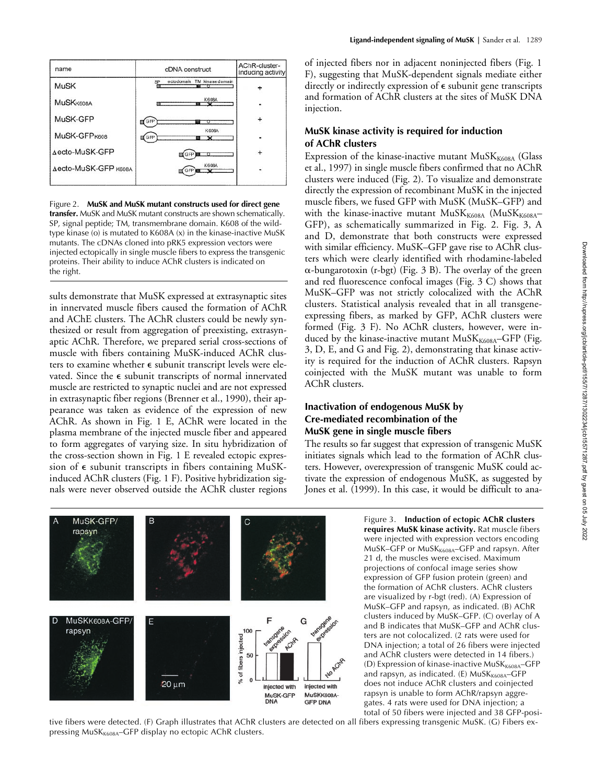

Figure 2. **MuSK and MuSK mutant constructs used for direct gene transfer.** MuSK and MuSK mutant constructs are shown schematically. SP, signal peptide; TM, transmembrane domain. K608 of the wildtype kinase (o) is mutated to K608A (x) in the kinase-inactive MuSK mutants. The cDNAs cloned into pRK5 expression vectors were injected ectopically in single muscle fibers to express the transgenic proteins. Their ability to induce AChR clusters is indicated on the right.

sults demonstrate that MuSK expressed at extrasynaptic sites in innervated muscle fibers caused the formation of AChR and AChE clusters. The AChR clusters could be newly synthesized or result from aggregation of preexisting, extrasynaptic AChR. Therefore, we prepared serial cross-sections of muscle with fibers containing MuSK-induced AChR clusters to examine whether  $\epsilon$  subunit transcript levels were elevated. Since the  $\epsilon$  subunit transcripts of normal innervated muscle are restricted to synaptic nuclei and are not expressed in extrasynaptic fiber regions (Brenner et al., 1990), their appearance was taken as evidence of the expression of new AChR. As shown in Fig. 1 E, AChR were located in the plasma membrane of the injected muscle fiber and appeared to form aggregates of varying size. In situ hybridization of the cross-section shown in Fig. 1 E revealed ectopic expression of  $\epsilon$  subunit transcripts in fibers containing MuSKinduced AChR clusters (Fig. 1 F). Positive hybridization signals were never observed outside the AChR cluster regions

of injected fibers nor in adjacent noninjected fibers (Fig. 1 F), suggesting that MuSK-dependent signals mediate either directly or indirectly expression of  $\epsilon$  subunit gene transcripts and formation of AChR clusters at the sites of MuSK DNA injection.

### **MuSK kinase activity is required for induction of AChR clusters**

Expression of the kinase-inactive mutant  $MuSK<sub>K608A</sub>$  (Glass et al., 1997) in single muscle fibers confirmed that no AChR clusters were induced (Fig. 2). To visualize and demonstrate directly the expression of recombinant MuSK in the injected muscle fibers, we fused GFP with MuSK (MuSK–GFP) and with the kinase-inactive mutant MuSK<sub>K608A</sub> (MuSK<sub>K608A</sub>-GFP), as schematically summarized in Fig. 2. Fig. 3, A and D, demonstrate that both constructs were expressed with similar efficiency. MuSK–GFP gave rise to AChR clusters which were clearly identified with rhodamine-labeled  $\alpha$ -bungarotoxin (r-bgt) (Fig. 3 B). The overlay of the green and red fluorescence confocal images (Fig. 3 C) shows that MuSK–GFP was not strictly colocalized with the AChR clusters. Statistical analysis revealed that in all transgeneexpressing fibers, as marked by GFP, AChR clusters were formed (Fig. 3 F). No AChR clusters, however, were induced by the kinase-inactive mutant  $MuSK<sub>K608A</sub> - GFP$  (Fig. 3, D, E, and G and Fig. 2), demonstrating that kinase activity is required for the induction of AChR clusters. Rapsyn coinjected with the MuSK mutant was unable to form AChR clusters.

# **Inactivation of endogenous MuSK by Cre-mediated recombination of the MuSK gene in single muscle fibers**

The results so far suggest that expression of transgenic MuSK initiates signals which lead to the formation of AChR clusters. However, overexpression of transgenic MuSK could activate the expression of endogenous MuSK, as suggested by Jones et al. (1999). In this case, it would be difficult to ana-



Figure 3. **Induction of ectopic AChR clusters requires MuSK kinase activity.** Rat muscle fibers were injected with expression vectors encoding MuSK-GFP or MuSK<sub>K608A</sub>-GFP and rapsyn. After 21 d, the muscles were excised. Maximum projections of confocal image series show expression of GFP fusion protein (green) and the formation of AChR clusters. AChR clusters are visualized by r-bgt (red). (A) Expression of MuSK–GFP and rapsyn, as indicated. (B) AChR clusters induced by MuSK–GFP. (C) overlay of A and B indicates that MuSK–GFP and AChR clusters are not colocalized. (2 rats were used for DNA injection; a total of 26 fibers were injected and AChR clusters were detected in 14 fibers.) (D) Expression of kinase-inactive MuSK $_{K608A}$ –GFP and rapsyn, as indicated. (E)  $MUSK<sub>K608A</sub> - GFP$ does not induce AChR clusters and coinjected rapsyn is unable to form AChR/rapsyn aggregates. 4 rats were used for DNA injection; a total of 50 fibers were injected and 38 GFP-posi-

tive fibers were detected. (F) Graph illustrates that AChR clusters are detected on all fibers expressing transgenic MuSK. (G) Fibers expressing MuSK<sub>K608A</sub>-GFP display no ectopic AChR clusters.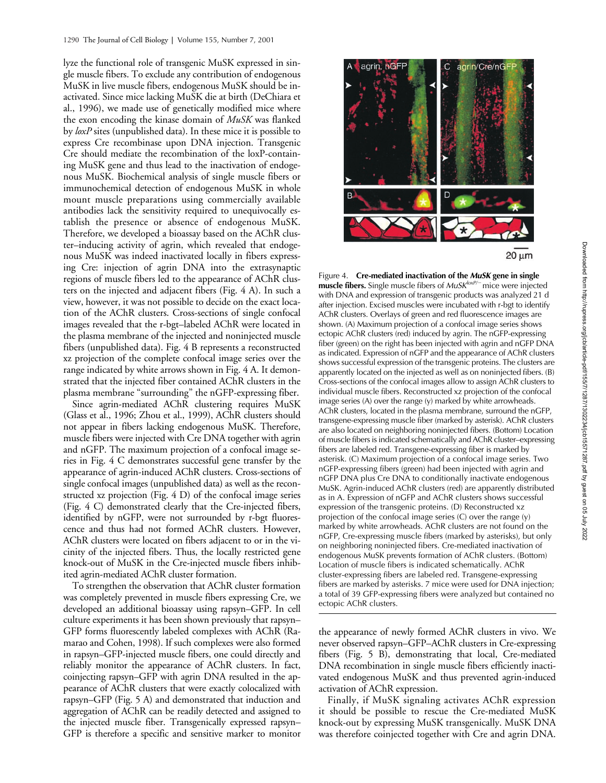lyze the functional role of transgenic MuSK expressed in single muscle fibers. To exclude any contribution of endogenous MuSK in live muscle fibers, endogenous MuSK should be inactivated. Since mice lacking MuSK die at birth (DeChiara et al., 1996), we made use of genetically modified mice where the exon encoding the kinase domain of *MuSK* was flanked by *loxP* sites (unpublished data). In these mice it is possible to express Cre recombinase upon DNA injection. Transgenic Cre should mediate the recombination of the loxP-containing MuSK gene and thus lead to the inactivation of endogenous MuSK. Biochemical analysis of single muscle fibers or immunochemical detection of endogenous MuSK in whole mount muscle preparations using commercially available antibodies lack the sensitivity required to unequivocally establish the presence or absence of endogenous MuSK. Therefore, we developed a bioassay based on the AChR cluster–inducing activity of agrin, which revealed that endogenous MuSK was indeed inactivated locally in fibers expressing Cre: injection of agrin DNA into the extrasynaptic regions of muscle fibers led to the appearance of AChR clusters on the injected and adjacent fibers (Fig. 4 A). In such a view, however, it was not possible to decide on the exact location of the AChR clusters. Cross-sections of single confocal images revealed that the r-bgt–labeled AChR were located in the plasma membrane of the injected and noninjected muscle fibers (unpublished data). Fig. 4 B represents a reconstructed xz projection of the complete confocal image series over the range indicated by white arrows shown in Fig. 4 A. It demonstrated that the injected fiber contained AChR clusters in the plasma membrane "surrounding" the nGFP-expressing fiber.

Since agrin-mediated AChR clustering requires MuSK (Glass et al., 1996; Zhou et al., 1999), AChR clusters should not appear in fibers lacking endogenous MuSK. Therefore, muscle fibers were injected with Cre DNA together with agrin and nGFP. The maximum projection of a confocal image series in Fig. 4 C demonstrates successful gene transfer by the appearance of agrin-induced AChR clusters. Cross-sections of single confocal images (unpublished data) as well as the reconstructed xz projection (Fig. 4 D) of the confocal image series (Fig. 4 C) demonstrated clearly that the Cre-injected fibers, identified by nGFP, were not surrounded by r-bgt fluorescence and thus had not formed AChR clusters. However, AChR clusters were located on fibers adjacent to or in the vicinity of the injected fibers. Thus, the locally restricted gene knock-out of MuSK in the Cre-injected muscle fibers inhibited agrin-mediated AChR cluster formation.

To strengthen the observation that AChR cluster formation was completely prevented in muscle fibers expressing Cre, we developed an additional bioassay using rapsyn–GFP. In cell culture experiments it has been shown previously that rapsyn– GFP forms fluorescently labeled complexes with AChR (Ramarao and Cohen, 1998). If such complexes were also formed in rapsyn–GFP-injected muscle fibers, one could directly and reliably monitor the appearance of AChR clusters. In fact, coinjecting rapsyn–GFP with agrin DNA resulted in the appearance of AChR clusters that were exactly colocalized with rapsyn–GFP (Fig. 5 A) and demonstrated that induction and aggregation of AChR can be readily detected and assigned to the injected muscle fiber. Transgenically expressed rapsyn– GFP is therefore a specific and sensitive marker to monitor





Figure 4. **Cre-mediated inactivation of the** *MuSK* **gene in single**  muscle fibers. Single muscle fibers of *MuSK<sup>loxP/-</sup>* mice were injected with DNA and expression of transgenic products was analyzed 21 d after injection. Excised muscles were incubated with r-bgt to identify AChR clusters. Overlays of green and red fluorescence images are shown. (A) Maximum projection of a confocal image series shows ectopic AChR clusters (red) induced by agrin. The nGFP-expressing fiber (green) on the right has been injected with agrin and nGFP DNA as indicated. Expression of nGFP and the appearance of AChR clusters shows successful expression of the transgenic proteins. The clusters are apparently located on the injected as well as on noninjected fibers. (B) Cross-sections of the confocal images allow to assign AChR clusters to individual muscle fibers. Reconstructed xz projection of the confocal image series (A) over the range (y) marked by white arrowheads. AChR clusters, located in the plasma membrane, surround the nGFP, transgene-expressing muscle fiber (marked by asterisk). AChR clusters are also located on neighboring noninjected fibers. (Bottom) Location of muscle fibers is indicated schematically and AChR cluster–expressing fibers are labeled red. Transgene-expressing fiber is marked by asterisk. (C) Maximum projection of a confocal image series. Two nGFP-expressing fibers (green) had been injected with agrin and nGFP DNA plus Cre DNA to conditionally inactivate endogenous MuSK. Agrin-induced AChR clusters (red) are apparently distributed as in A. Expression of nGFP and AChR clusters shows successful expression of the transgenic proteins. (D) Reconstructed xz projection of the confocal image series (C) over the range (y) marked by white arrowheads. AChR clusters are not found on the nGFP, Cre-expressing muscle fibers (marked by asterisks), but only on neighboring noninjected fibers. Cre-mediated inactivation of endogenous MuSK prevents formation of AChR clusters. (Bottom) Location of muscle fibers is indicated schematically. AChR cluster-expressing fibers are labeled red. Transgene-expressing fibers are marked by asterisks. 7 mice were used for DNA injection; a total of 39 GFP-expressing fibers were analyzed but contained no ectopic AChR clusters.

the appearance of newly formed AChR clusters in vivo. We never observed rapsyn–GFP–AChR clusters in Cre-expressing fibers (Fig. 5 B), demonstrating that local, Cre-mediated DNA recombination in single muscle fibers efficiently inactivated endogenous MuSK and thus prevented agrin-induced activation of AChR expression.

Finally, if MuSK signaling activates AChR expression it should be possible to rescue the Cre-mediated MuSK knock-out by expressing MuSK transgenically. MuSK DNA was therefore coinjected together with Cre and agrin DNA.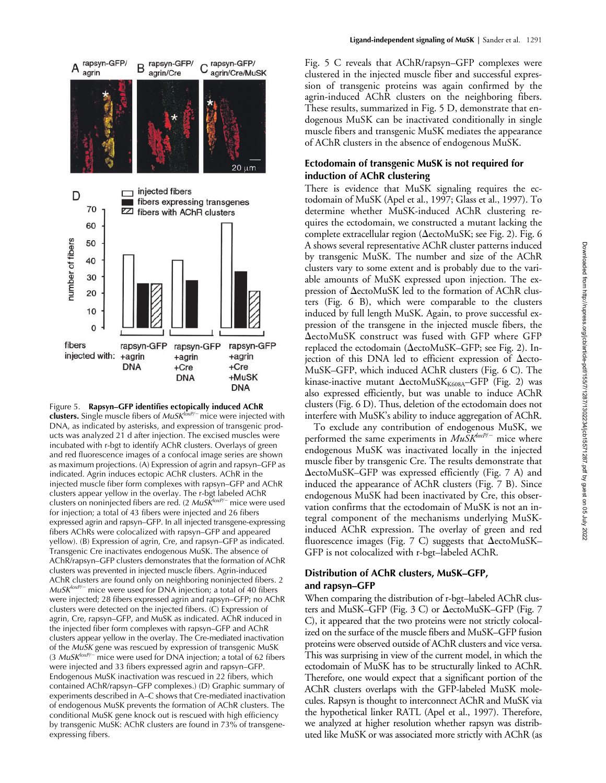

Figure 5. **Rapsyn–GFP identifies ectopically induced AChR clusters.** Single muscle fibers of *MuSKloxP/* mice were injected with DNA, as indicated by asterisks, and expression of transgenic products was analyzed 21 d after injection. The excised muscles were incubated with r-bgt to identify AChR clusters. Overlays of green and red fluorescence images of a confocal image series are shown as maximum projections. (A) Expression of agrin and rapsyn–GFP as indicated. Agrin induces ectopic AChR clusters. AChR in the injected muscle fiber form complexes with rapsyn–GFP and AChR clusters appear yellow in the overlay. The r-bgt labeled AChR clusters on noninjected fibers are red. (2 *MuSK<sup>loxP/-</sup>* mice were used for injection; a total of 43 fibers were injected and 26 fibers expressed agrin and rapsyn–GFP. In all injected transgene-expressing fibers AChRs were colocalized with rapsyn–GFP and appeared yellow). (B) Expression of agrin, Cre, and rapsyn–GFP as indicated. Transgenic Cre inactivates endogenous MuSK. The absence of AChR/rapsyn–GFP clusters demonstrates that the formation of AChR clusters was prevented in injected muscle fibers. Agrin-induced AChR clusters are found only on neighboring noninjected fibers. 2 *MuSK*<sup>loxP/-</sup> mice were used for DNA injection; a total of 40 fibers were injected; 28 fibers expressed agrin and rapsyn–GFP; no AChR clusters were detected on the injected fibers. (C) Expression of agrin, Cre, rapsyn–GFP, and MuSK as indicated. AChR induced in the injected fiber form complexes with rapsyn–GFP and AChR clusters appear yellow in the overlay. The Cre-mediated inactivation of the *MuSK* gene was rescued by expression of transgenic MuSK (3 *MuSK<sup>loxP/-</sup>* mice were used for DNA injection; a total of 62 fibers were injected and 33 fibers expressed agrin and rapsyn–GFP. Endogenous MuSK inactivation was rescued in 22 fibers, which contained AChR/rapsyn–GFP complexes.) (D) Graphic summary of experiments described in A–C shows that Cre-mediated inactivation of endogenous MuSK prevents the formation of AChR clusters. The conditional MuSK gene knock out is rescued with high efficiency by transgenic MuSK: AChR clusters are found in 73% of transgeneexpressing fibers.

Fig. 5 C reveals that AChR/rapsyn–GFP complexes were clustered in the injected muscle fiber and successful expression of transgenic proteins was again confirmed by the agrin-induced AChR clusters on the neighboring fibers. These results, summarized in Fig. 5 D, demonstrate that endogenous MuSK can be inactivated conditionally in single muscle fibers and transgenic MuSK mediates the appearance of AChR clusters in the absence of endogenous MuSK.

## **Ectodomain of transgenic MuSK is not required for induction of AChR clustering**

There is evidence that MuSK signaling requires the ectodomain of MuSK (Apel et al., 1997; Glass et al., 1997). To determine whether MuSK-induced AChR clustering requires the ectodomain, we constructed a mutant lacking the complete extracellular region ( $\Delta$ ectoMuSK; see Fig. 2). Fig. 6 A shows several representative AChR cluster patterns induced by transgenic MuSK. The number and size of the AChR clusters vary to some extent and is probably due to the variable amounts of MuSK expressed upon injection. The expression of  $\Delta$ ectoMuSK led to the formation of AChR clusters (Fig. 6 B), which were comparable to the clusters induced by full length MuSK. Again, to prove successful expression of the transgene in the injected muscle fibers, the  $\Delta$ ectoMuSK construct was fused with GFP where GFP replaced the ectodomain ( $\Delta$ ectoMuSK–GFP; see Fig. 2). Injection of this DNA led to efficient expression of  $\Delta$ ecto-MuSK–GFP, which induced AChR clusters (Fig. 6 C). The kinase-inactive mutant  $\Delta$ ectoMuSK<sub>K608A</sub>–GFP (Fig. 2) was also expressed efficiently, but was unable to induce AChR clusters (Fig. 6 D). Thus, deletion of the ectodomain does not interfere with MuSK's ability to induce aggregation of AChR.

To exclude any contribution of endogenous MuSK, we performed the same experiments in  $Mu\tilde{S}K^{doxP/-}$  mice where endogenous MuSK was inactivated locally in the injected muscle fiber by transgenic Cre. The results demonstrate that  $\Delta$ ectoMuSK–GFP was expressed efficiently (Fig. 7 A) and induced the appearance of AChR clusters (Fig. 7 B). Since endogenous MuSK had been inactivated by Cre, this observation confirms that the ectodomain of MuSK is not an integral component of the mechanisms underlying MuSKinduced AChR expression. The overlay of green and red fluorescence images (Fig. 7 C) suggests that  $\Delta$ ectoMuSK– GFP is not colocalized with r-bgt–labeled AChR.

### **Distribution of AChR clusters, MuSK–GFP, and rapsyn–GFP**

When comparing the distribution of r-bgt–labeled AChR clusters and MuSK–GFP (Fig.  $3$  C) or  $\triangle$ ectoMuSK–GFP (Fig. 7 C), it appeared that the two proteins were not strictly colocalized on the surface of the muscle fibers and MuSK–GFP fusion proteins were observed outside of AChR clusters and vice versa. This was surprising in view of the current model, in which the ectodomain of MuSK has to be structurally linked to AChR. Therefore, one would expect that a significant portion of the AChR clusters overlaps with the GFP-labeled MuSK molecules. Rapsyn is thought to interconnect AChR and MuSK via the hypothetical linker RATL (Apel et al., 1997). Therefore, we analyzed at higher resolution whether rapsyn was distributed like MuSK or was associated more strictly with AChR (as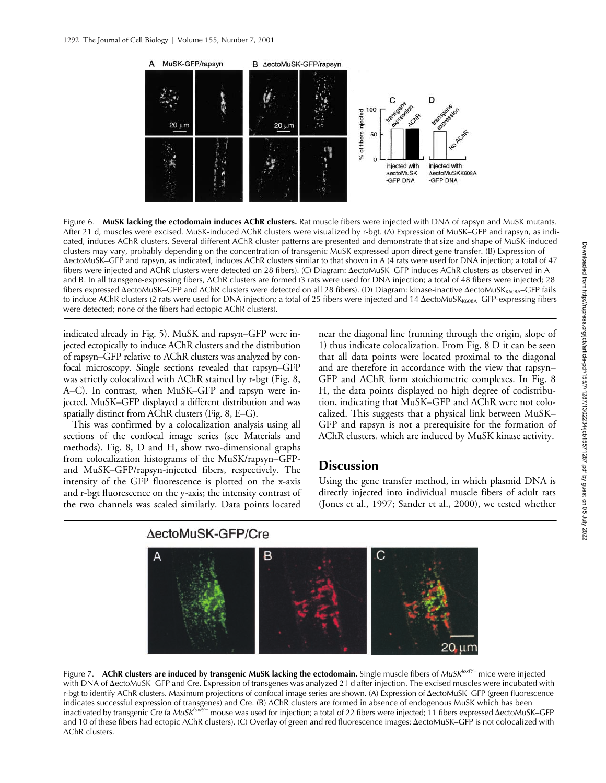

Figure 6. **MuSK lacking the ectodomain induces AChR clusters.** Rat muscle fibers were injected with DNA of rapsyn and MuSK mutants. After 21 d, muscles were excised. MuSK-induced AChR clusters were visualized by r-bgt. (A) Expression of MuSK–GFP and rapsyn, as indicated, induces AChR clusters. Several different AChR cluster patterns are presented and demonstrate that size and shape of MuSK-induced clusters may vary, probably depending on the concentration of transgenic MuSK expressed upon direct gene transfer. (B) Expression of ectoMuSK–GFP and rapsyn, as indicated, induces AChR clusters similar to that shown in A (4 rats were used for DNA injection; a total of 47 fibers were injected and AChR clusters were detected on 28 fibers). (C) Diagram:  $\Delta$ ectoMuSK–GFP induces AChR clusters as observed in A and B. In all transgene-expressing fibers, AChR clusters are formed (3 rats were used for DNA injection; a total of 48 fibers were injected; 28 fibers expressed  $\Delta$ ectoMuSK–GFP and AChR clusters were detected on all 28 fibers). (D) Diagram: kinase-inactive  $\Delta$ ectoMuSK<sub>K608A</sub>–GFP fails to induce AChR clusters (2 rats were used for DNA injection; a total of 25 fibers were injected and 14  $\Delta$ ectoMuSK<sub>K608A</sub>–GFP-expressing fibers were detected; none of the fibers had ectopic AChR clusters).

indicated already in Fig. 5). MuSK and rapsyn–GFP were injected ectopically to induce AChR clusters and the distribution of rapsyn–GFP relative to AChR clusters was analyzed by confocal microscopy. Single sections revealed that rapsyn–GFP was strictly colocalized with AChR stained by r-bgt (Fig. 8, A–C). In contrast, when MuSK–GFP and rapsyn were injected, MuSK–GFP displayed a different distribution and was spatially distinct from AChR clusters (Fig. 8, E–G).

This was confirmed by a colocalization analysis using all sections of the confocal image series (see Materials and methods). Fig. 8, D and H, show two-dimensional graphs from colocalization histograms of the MuSK/rapsyn–GFPand MuSK–GFP/rapsyn-injected fibers, respectively. The intensity of the GFP fluorescence is plotted on the x-axis and r-bgt fluorescence on the y-axis; the intensity contrast of the two channels was scaled similarly. Data points located

near the diagonal line (running through the origin, slope of 1) thus indicate colocalization. From Fig. 8 D it can be seen that all data points were located proximal to the diagonal and are therefore in accordance with the view that rapsyn– GFP and AChR form stoichiometric complexes. In Fig. 8 H, the data points displayed no high degree of codistribution, indicating that MuSK–GFP and AChR were not colocalized. This suggests that a physical link between MuSK– GFP and rapsyn is not a prerequisite for the formation of AChR clusters, which are induced by MuSK kinase activity.

# **Discussion**

Using the gene transfer method, in which plasmid DNA is directly injected into individual muscle fibers of adult rats (Jones et al., 1997; Sander et al., 2000), we tested whether



Figure 7. **AChR clusters are induced by transgenic MuSK lacking the ectodomain.** Single muscle fibers of *MuSKloxP/* mice were injected with DNA of  $\Delta$ ectoMuSK–GFP and Cre. Expression of transgenes was analyzed 21 d after injection. The excised muscles were incubated with r-bgt to identify AChR clusters. Maximum projections of confocal image series are shown. (A) Expression of ΔectoMuSK–GFP (green fluorescence indicates successful expression of transgenes) and Cre. (B) AChR clusters are formed in absence of endogenous MuSK which has been inactivated by transgenic Cre (a *MuSKloxP/* mouse was used for injection; a total of 22 fibers were injected; 11 fibers expressed ectoMuSK–GFP and 10 of these fibers had ectopic AChR clusters). (C) Overlay of green and red fluorescence images:  $\Delta$ ectoMuSK–GFP is not colocalized with AChR clusters.

# ∆ectoMuSK-GFP/Cre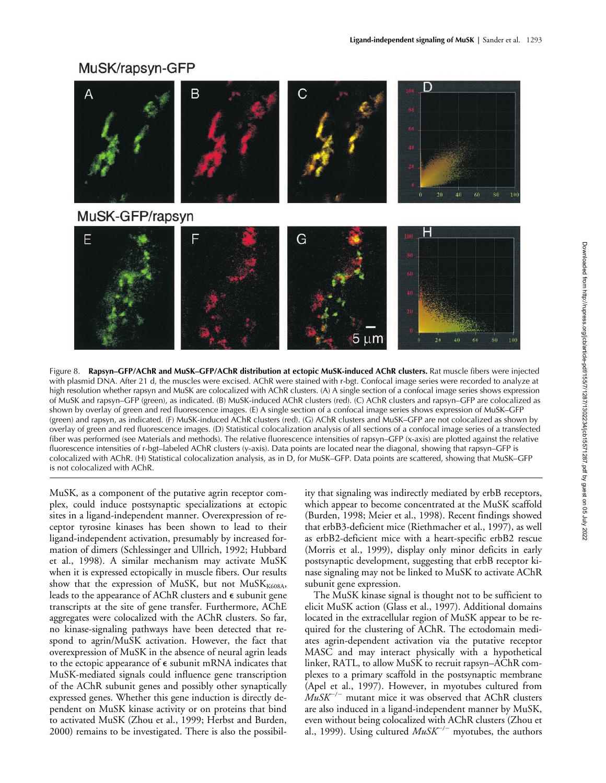# MuSK/rapsyn-GFP



Figure 8. **Rapsyn–GFP/AChR and MuSK–GFP/AChR distribution at ectopic MuSK-induced AChR clusters.** Rat muscle fibers were injected with plasmid DNA. After 21 d, the muscles were excised. AChR were stained with r-bgt. Confocal image series were recorded to analyze at high resolution whether rapsyn and MuSK are colocalized with AChR clusters. (A) A single section of a confocal image series shows expression of MuSK and rapsyn–GFP (green), as indicated. (B) MuSK-induced AChR clusters (red). (C) AChR clusters and rapsyn–GFP are colocalized as shown by overlay of green and red fluorescence images. (E) A single section of a confocal image series shows expression of MuSK–GFP (green) and rapsyn, as indicated. (F) MuSK-induced AChR clusters (red). (G) AChR clusters and MuSK–GFP are not colocalized as shown by overlay of green and red fluorescence images. (D) Statistical colocalization analysis of all sections of a confocal image series of a transfected fiber was performed (see Materials and methods). The relative fluorescence intensities of rapsyn–GFP (x-axis) are plotted against the relative fluorescence intensities of r-bgt–labeled AChR clusters (y-axis). Data points are located near the diagonal, showing that rapsyn–GFP is colocalized with AChR. (H) Statistical colocalization analysis, as in D, for MuSK–GFP. Data points are scattered, showing that MuSK–GFP is not colocalized with AChR.

MuSK, as a component of the putative agrin receptor complex, could induce postsynaptic specializations at ectopic sites in a ligand-independent manner. Overexpression of receptor tyrosine kinases has been shown to lead to their ligand-independent activation, presumably by increased formation of dimers (Schlessinger and Ullrich, 1992; Hubbard et al., 1998). A similar mechanism may activate MuSK when it is expressed ectopically in muscle fibers. Our results show that the expression of MuSK, but not  $MuSK<sub>K608A</sub>$ , leads to the appearance of AChR clusters and  $\epsilon$  subunit gene transcripts at the site of gene transfer. Furthermore, AChE aggregates were colocalized with the AChR clusters. So far, no kinase-signaling pathways have been detected that respond to agrin/MuSK activation. However, the fact that overexpression of MuSK in the absence of neural agrin leads to the ectopic appearance of  $\epsilon$  subunit mRNA indicates that MuSK-mediated signals could influence gene transcription of the AChR subunit genes and possibly other synaptically expressed genes. Whether this gene induction is directly dependent on MuSK kinase activity or on proteins that bind to activated MuSK (Zhou et al., 1999; Herbst and Burden, 2000) remains to be investigated. There is also the possibil-

ity that signaling was indirectly mediated by erbB receptors, which appear to become concentrated at the MuSK scaffold (Burden, 1998; Meier et al., 1998). Recent findings showed that erbB3-deficient mice (Riethmacher et al., 1997), as well as erbB2-deficient mice with a heart-specific erbB2 rescue (Morris et al., 1999), display only minor deficits in early postsynaptic development, suggesting that erbB receptor kinase signaling may not be linked to MuSK to activate AChR subunit gene expression.

The MuSK kinase signal is thought not to be sufficient to elicit MuSK action (Glass et al., 1997). Additional domains located in the extracellular region of MuSK appear to be required for the clustering of AChR. The ectodomain mediates agrin-dependent activation via the putative receptor MASC and may interact physically with a hypothetical linker, RATL, to allow MuSK to recruit rapsyn–AChR complexes to a primary scaffold in the postsynaptic membrane (Apel et al., 1997). However, in myotubes cultured from  $\hat{M\!u}$ SK<sup>-/-</sup> mutant mice it was observed that AChR clusters are also induced in a ligand-independent manner by MuSK, even without being colocalized with AChR clusters (Zhou et al., 1999). Using cultured  $MuS K^{-/-}$  myotubes, the authors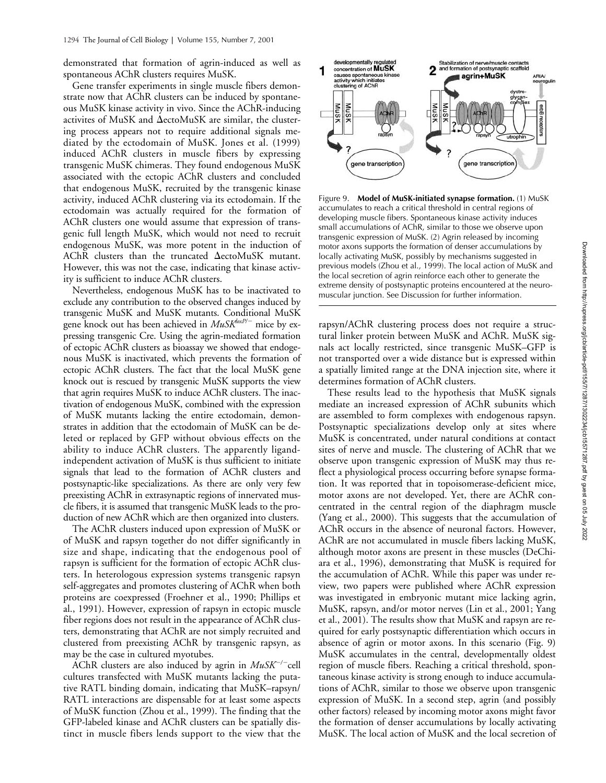demonstrated that formation of agrin-induced as well as spontaneous AChR clusters requires MuSK.

Gene transfer experiments in single muscle fibers demonstrate now that AChR clusters can be induced by spontaneous MuSK kinase activity in vivo. Since the AChR-inducing activites of MuSK and  $\Delta$ ectoMuSK are similar, the clustering process appears not to require additional signals mediated by the ectodomain of MuSK. Jones et al. (1999) induced AChR clusters in muscle fibers by expressing transgenic MuSK chimeras. They found endogenous MuSK associated with the ectopic AChR clusters and concluded that endogenous MuSK, recruited by the transgenic kinase activity, induced AChR clustering via its ectodomain. If the ectodomain was actually required for the formation of AChR clusters one would assume that expression of transgenic full length MuSK, which would not need to recruit endogenous MuSK, was more potent in the induction of AChR clusters than the truncated  $\Delta$ ectoMuSK mutant. However, this was not the case, indicating that kinase activity is sufficient to induce AChR clusters.

Nevertheless, endogenous MuSK has to be inactivated to exclude any contribution to the observed changes induced by transgenic MuSK and MuSK mutants. Conditional MuSK gene knock out has been achieved in  $MuS K^{boxP/-}$  mice by expressing transgenic Cre. Using the agrin-mediated formation of ectopic AChR clusters as bioassay we showed that endogenous MuSK is inactivated, which prevents the formation of ectopic AChR clusters. The fact that the local MuSK gene knock out is rescued by transgenic MuSK supports the view that agrin requires MuSK to induce AChR clusters. The inactivation of endogenous MuSK, combined with the expression of MuSK mutants lacking the entire ectodomain, demonstrates in addition that the ectodomain of MuSK can be deleted or replaced by GFP without obvious effects on the ability to induce AChR clusters. The apparently ligandindependent activation of MuSK is thus sufficient to initiate signals that lead to the formation of AChR clusters and postsynaptic-like specializations. As there are only very few preexisting AChR in extrasynaptic regions of innervated muscle fibers, it is assumed that transgenic MuSK leads to the production of new AChR which are then organized into clusters.

The AChR clusters induced upon expression of MuSK or of MuSK and rapsyn together do not differ significantly in size and shape, indicating that the endogenous pool of rapsyn is sufficient for the formation of ectopic AChR clusters. In heterologous expression systems transgenic rapsyn self-aggregates and promotes clustering of AChR when both proteins are coexpressed (Froehner et al., 1990; Phillips et al., 1991). However, expression of rapsyn in ectopic muscle fiber regions does not result in the appearance of AChR clusters, demonstrating that AChR are not simply recruited and clustered from preexisting AChR by transgenic rapsyn, as may be the case in cultured myotubes.

AChR clusters are also induced by agrin in  $MuS K^{-1}$ cell cultures transfected with MuSK mutants lacking the putative RATL binding domain, indicating that MuSK–rapsyn/ RATL interactions are dispensable for at least some aspects of MuSK function (Zhou et al., 1999). The finding that the GFP-labeled kinase and AChR clusters can be spatially distinct in muscle fibers lends support to the view that the



Figure 9. **Model of MuSK-initiated synapse formation.** (1) MuSK accumulates to reach a critical threshold in central regions of developing muscle fibers. Spontaneous kinase activity induces small accumulations of AChR, similar to those we observe upon transgenic expression of MuSK. (2) Agrin released by incoming motor axons supports the formation of denser accumulations by locally activating MuSK, possibly by mechanisms suggested in previous models (Zhou et al., 1999). The local action of MuSK and the local secretion of agrin reinforce each other to generate the extreme density of postsynaptic proteins encountered at the neuromuscular junction. See Discussion for further information.

rapsyn/AChR clustering process does not require a structural linker protein between MuSK and AChR. MuSK signals act locally restricted, since transgenic MuSK–GFP is not transported over a wide distance but is expressed within a spatially limited range at the DNA injection site, where it determines formation of AChR clusters.

These results lead to the hypothesis that MuSK signals mediate an increased expression of AChR subunits which are assembled to form complexes with endogenous rapsyn. Postsynaptic specializations develop only at sites where MuSK is concentrated, under natural conditions at contact sites of nerve and muscle. The clustering of AChR that we observe upon transgenic expression of MuSK may thus reflect a physiological process occurring before synapse formation. It was reported that in topoisomerase-deficient mice, motor axons are not developed. Yet, there are AChR concentrated in the central region of the diaphragm muscle (Yang et al., 2000). This suggests that the accumulation of AChR occurs in the absence of neuronal factors. However, AChR are not accumulated in muscle fibers lacking MuSK, although motor axons are present in these muscles (DeChiara et al., 1996), demonstrating that MuSK is required for the accumulation of AChR. While this paper was under review, two papers were published where AChR expression was investigated in embryonic mutant mice lacking agrin, MuSK, rapsyn, and/or motor nerves (Lin et al., 2001; Yang et al., 2001). The results show that MuSK and rapsyn are required for early postsynaptic differentiation which occurs in absence of agrin or motor axons. In this scenario (Fig. 9) MuSK accumulates in the central, developmentally oldest region of muscle fibers. Reaching a critical threshold, spontaneous kinase activity is strong enough to induce accumulations of AChR, similar to those we observe upon transgenic expression of MuSK. In a second step, agrin (and possibly other factors) released by incoming motor axons might favor the formation of denser accumulations by locally activating MuSK. The local action of MuSK and the local secretion of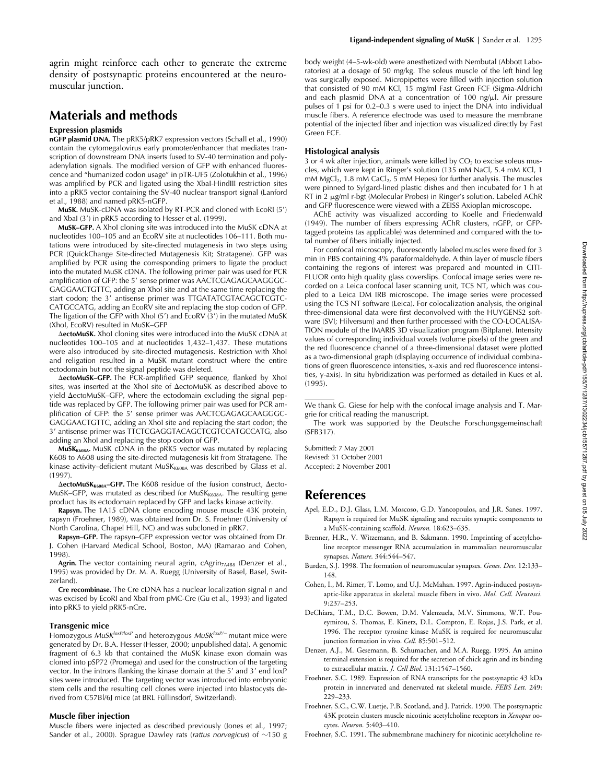agrin might reinforce each other to generate the extreme density of postsynaptic proteins encountered at the neuromuscular junction.

# **Materials and methods**

#### **Expression plasmids**

**nGFP plasmid DNA.** The pRK5/pRK7 expression vectors (Schall et al., 1990) contain the cytomegalovirus early promoter/enhancer that mediates transcription of downstream DNA inserts fused to SV-40 termination and polyadenylation signals. The modified version of GFP with enhanced fluorescence and "humanized codon usage" in pTR-UF5 (Zolotukhin et al., 1996) was amplified by PCR and ligated using the XbaI-HindIII restriction sites into a pRK5 vector containing the SV-40 nuclear transport signal (Lanford et al., 1988) and named pRK5-nGFP.

**MuSK.** MuSK-cDNA was isolated by RT-PCR and cloned with EcoRI (5) and Xbal (3') in pRK5 according to Hesser et al. (1999).

**MuSK–GFP.** A XhoI cloning site was introduced into the MuSK cDNA at nucleotides 100–105 and an EcoRV site at nucleotides 106–111. Both mutations were introduced by site-directed mutagenesis in two steps using PCR (QuickChange Site-directed Mutagenesis Kit; Stratagene). GFP was amplified by PCR using the corresponding primers to ligate the product into the mutated MuSK cDNA. The following primer pair was used for PCR amplification of GFP: the 5' sense primer was AACTCGAGAGCAAGGGC-GAGGAACTGTTC, adding an XhoI site and at the same time replacing the start codon; the 3' antisense primer was TTGATATCGTACAGCTCGTC-CATGCCATG, adding an EcoRV site and replacing the stop codon of GFP. The ligation of the GFP with XhoI (5') and EcoRV  $(3')$  in the mutated MuSK (XhoI, EcoRV) resulted in MuSK–GFP.

**ectoMuSK.** XhoI cloning sites were introduced into the MuSK cDNA at nucleotides 100–105 and at nucleotides 1,432–1,437. These mutations were also introduced by site-directed mutagenesis. Restriction with XhoI and religation resulted in a MuSK mutant construct where the entire ectodomain but not the signal peptide was deleted.

**ectoMuSK–GFP.** The PCR-amplified GFP sequence, flanked by XhoI sites, was inserted at the XhoI site of  $\Delta$ ectoMuSK as described above to yield  $\Delta$ ectoMuSK–GFP, where the ectodomain excluding the signal peptide was replaced by GFP. The following primer pair was used for PCR amplification of GFP: the 5' sense primer was AACTCGAGAGCAAGGGC-GAGGAACTGTTC, adding an XhoI site and replacing the start codon; the 3 antisense primer was TTCTCGAGGTACAGCTCGTCCATGCCATG, also adding an XhoI and replacing the stop codon of GFP.

**MuSK<sub>K608A</sub>.** MuSK cDNA in the pRK5 vector was mutated by replacing K608 to A608 using the site-directed mutagenesis kit from Stratagene. The kinase activity-deficient mutant MuSK<sub>K608A</sub> was described by Glass et al. (1997).

**ΔectoMuSK<sub>K608A</sub>-GFP.** The K608 residue of the fusion construct, Δecto-MuSK-GFP, was mutated as described for MuSK<sub>K608A</sub>. The resulting gene product has its ectodomain replaced by GFP and lacks kinase activity.

**Rapsyn.** The 1A15 cDNA clone encoding mouse muscle 43K protein, rapsyn (Froehner, 1989), was obtained from Dr. S. Froehner (University of North Carolina, Chapel Hill, NC) and was subcloned in pRK7.

**Rapsyn–GFP.** The rapsyn–GFP expression vector was obtained from Dr. J. Cohen (Harvard Medical School, Boston, MA) (Ramarao and Cohen, 1998).

Agrin. The vector containing neural agrin, cAgrin<sub>7A4B8</sub> (Denzer et al., 1995) was provided by Dr. M. A. Ruegg (University of Basel, Basel, Switzerland).

**Cre recombinase.** The Cre cDNA has a nuclear localization signal n and was excised by EcoRI and XbaI from pMC-Cre (Gu et al., 1993) and ligated into pRK5 to yield pRK5-nCre.

#### **Transgenic mice**

Homozygous *MuSK*<sup>loxP</sup>/loxP</sup> and heterozygous *MuSK*<sup>loxP/-</sup> mutant mice were generated by Dr. B.A. Hesser (Hesser, 2000; unpublished data). A genomic fragment of 6.3 kb that contained the MuSK kinase exon domain was cloned into pSP72 (Promega) and used for the construction of the targeting vector. In the introns flanking the kinase domain at the 5' and 3' end  $\log P$ sites were introduced. The targeting vector was introduced into embryonic stem cells and the resulting cell clones were injected into blastocysts derived from C57Bl/6J mice (at BRL Füllinsdorf, Switzerland).

#### **Muscle fiber injection**

Muscle fibers were injected as described previously (Jones et al., 1997; Sander et al., 2000). Sprague Dawley rats (*rattus norvegicus*) of  $\sim$ 150 g

body weight (4–5-wk-old) were anesthetized with Nembutal (Abbott Laboratories) at a dosage of 50 mg/kg. The soleus muscle of the left hind leg was surgically exposed. Micropipettes were filled with injection solution that consisted of 90 mM KCl, 15 mg/ml Fast Green FCF (Sigma-Aldrich) and each plasmid DNA at a concentration of 100 ng/ $\mu$ l. Air pressure pulses of 1 psi for 0.2–0.3 s were used to inject the DNA into individual muscle fibers. A reference electrode was used to measure the membrane potential of the injected fiber and injection was visualized directly by Fast Green FCF.

#### **Histological analysis**

3 or 4 wk after injection, animals were killed by  $CO<sub>2</sub>$  to excise soleus muscles, which were kept in Ringer's solution (135 mM NaCl, 5.4 mM KCl, 1 mM  $MgCl<sub>2</sub>$ , 1.8 mM CaCl<sub>2</sub>, 5 mM Hepes) for further analysis. The muscles were pinned to Sylgard-lined plastic dishes and then incubated for 1 h at RT in 2 µg/ml r-bgt (Molecular Probes) in Ringer's solution. Labeled AChR and GFP fluorescence were viewed with a ZEISS Axioplan microscope.

AChE activity was visualized according to Koelle and Friedenwald (1949). The number of fibers expressing AChR clusters, nGFP, or GFPtagged proteins (as applicable) was determined and compared with the total number of fibers initially injected.

For confocal microscopy, fluorescently labeled muscles were fixed for 3 min in PBS containing 4% paraformaldehyde. A thin layer of muscle fibers containing the regions of interest was prepared and mounted in CITI-FLUOR onto high quality glass coverslips. Confocal image series were recorded on a Leica confocal laser scanning unit, TCS NT, which was coupled to a Leica DM IRB microscope. The image series were processed using the TCS NT software (Leica). For colocalization analysis, the original three-dimensional data were first deconvolved with the HUYGENS2 software (SVI; Hilversum) and then further processed with the CO-LOCALISA-TION module of the IMARIS 3D visualization program (Bitplane). Intensity values of corresponding individual voxels (volume pixels) of the green and the red fluorescence channel of a three-dimensional dataset were plotted as a two-dimensional graph (displaying occurrence of individual combinations of green fluorescence intensities, x-axis and red fluorescence intensities, y-axis). In situ hybridization was performed as detailed in Kues et al. (1995).

We thank G. Giese for help with the confocal image analysis and T. Margrie for critical reading the manuscript.

The work was supported by the Deutsche Forschungsgemeinschaft (SFB317).

Submitted: 7 May 2001 Revised: 31 October 2001 Accepted: 2 November 2001

# **References**

- Apel, E.D., D.J. Glass, L.M. Moscoso, G.D. Yancopoulos, and J.R. Sanes. 1997. Rapsyn is required for MuSK signaling and recruits synaptic components to a MuSK-containing scaffold. *Neuron.* 18:623–635.
- Brenner, H.R., V. Witzemann, and B. Sakmann. 1990. Imprinting of acetylcholine receptor messenger RNA accumulation in mammalian neuromuscular synapses. *Nature*. 344:544–547.
- Burden, S.J. 1998. The formation of neuromuscular synapses. *Genes. Dev.* 12:133– 148.
- Cohen, I., M. Rimer, T. Lomo, and U.J. McMahan. 1997. Agrin-induced postsynaptic-like apparatus in skeletal muscle fibers in vivo. *Mol. Cell. Neurosci.* 9:237–253.
- DeChiara, T.M., D.C. Bowen, D.M. Valenzuela, M.V. Simmons, W.T. Poueymirou, S. Thomas, E. Kinetz, D.L. Compton, E. Rojas, J.S. Park, et al. 1996. The receptor tyrosine kinase MuSK is required for neuromuscular junction formation in vivo. *Cell.* 85:501–512.
- Denzer, A.J., M. Gesemann, B. Schumacher, and M.A. Ruegg. 1995. An amino terminal extension is required for the secretion of chick agrin and its binding to extracellular matrix. *J. Cell Biol.* 131:1547–1560.
- Froehner, S.C. 1989. Expression of RNA transcripts for the postsynaptic 43 kDa protein in innervated and denervated rat skeletal muscle. *FEBS Lett.* 249: 229–233.
- Froehner, S.C., C.W. Luetje, P.B. Scotland, and J. Patrick. 1990. The postsynaptic 43K protein clusters muscle nicotinic acetylcholine receptors in *Xenopus* oocytes. *Neuron.* 5:403–410.
- Froehner, S.C. 1991. The submembrane machinery for nicotinic acetylcholine re-